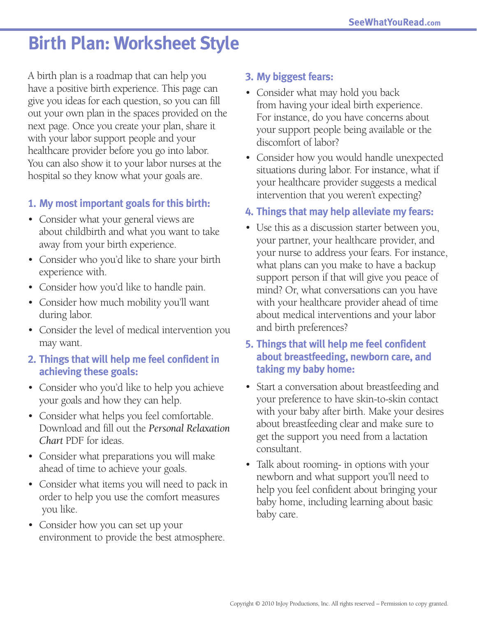# **Birth Plan: Worksheet Style**

A birth plan is a roadmap that can help you have a positive birth experience. This page can give you ideas for each question, so you can fill out your own plan in the spaces provided on the next page. Once you create your plan, share it with your labor support people and your healthcare provider before you go into labor. You can also show it to your labor nurses at the hospital so they know what your goals are.

#### **1. My most important goals for this birth:**

- Consider what your general views are about childbirth and what you want to take away from your birth experience.
- Consider who you'd like to share your birth experience with.
- Consider how you'd like to handle pain.
- Consider how much mobility you'll want during labor.
- Consider the level of medical intervention you may want.

### **2. Things that will help me feel confident in achieving these goals:**

- Consider who you'd like to help you achieve your goals and how they can help.
- Consider what helps you feel comfortable. Download and fill out the *Personal Relaxation Chart* PDF for ideas.
- Consider what preparations you will make ahead of time to achieve your goals.
- Consider what items you will need to pack in order to help you use the comfort measures you like.
- Consider how you can set up your environment to provide the best atmosphere.

#### **3. My biggest fears:**

- Consider what may hold you back from having your ideal birth experience. For instance, do you have concerns about your support people being available or the discomfort of labor?
- Consider how you would handle unexpected situations during labor. For instance, what if your healthcare provider suggests a medical intervention that you weren't expecting?

#### **4. Things that may help alleviate my fears:**

• Use this as a discussion starter between you, your partner, your healthcare provider, and your nurse to address your fears. For instance, what plans can you make to have a backup support person if that will give you peace of mind? Or, what conversations can you have with your healthcare provider ahead of time about medical interventions and your labor and birth preferences?

#### **5. Things that will help me feel confident about breastfeeding, newborn care, and taking my baby home:**

- Start a conversation about breastfeeding and your preference to have skin-to-skin contact with your baby after birth. Make your desires about breastfeeding clear and make sure to get the support you need from a lactation consultant.
- Talk about rooming- in options with your newborn and what support you'll need to help you feel confident about bringing your baby home, including learning about basic baby care.